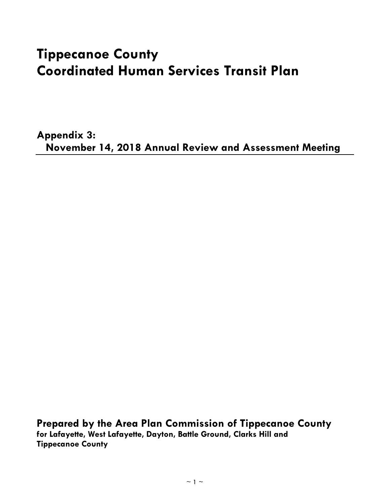# **Tippecanoe County Coordinated Human Services Transit Plan**

**Appendix 3: November 14, 2018 Annual Review and Assessment Meeting**

**Prepared by the Area Plan Commission of Tippecanoe County for Lafayette, West Lafayette, Dayton, Battle Ground, Clarks Hill and Tippecanoe County**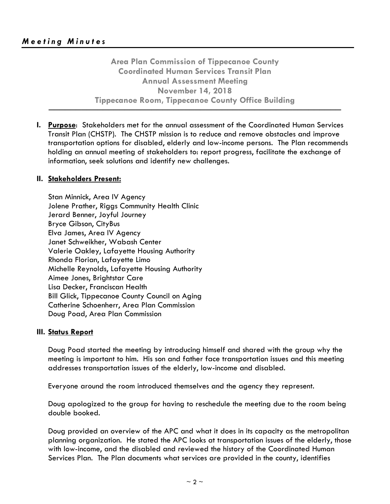**Area Plan Commission of Tippecanoe County Coordinated Human Services Transit Plan Annual Assessment Meeting November 14, 2018 Tippecanoe Room, Tippecanoe County Office Building**

**──────────────────────────────────────────────────────**

**I. Purpose**: Stakeholders met for the annual assessment of the Coordinated Human Services Transit Plan (CHSTP). The CHSTP mission is to reduce and remove obstacles and improve transportation options for disabled, elderly and low-income persons. The Plan recommends holding an annual meeting of stakeholders to: report progress, facilitate the exchange of information, seek solutions and identify new challenges.

## **II. Stakeholders Present:**

Stan Minnick, Area IV Agency Jolene Prather, Riggs Community Health Clinic Jerard Benner, Joyful Journey Bryce Gibson, CityBus Elva James, Area IV Agency Janet Schweikher, Wabash Center Valerie Oakley, Lafayette Housing Authority Rhonda Florian, Lafayette Limo Michelle Reynolds, Lafayette Housing Authority Aimee Jones, Brightstar Care Lisa Decker, Franciscan Health Bill Glick, Tippecanoe County Council on Aging Catherine Schoenherr, Area Plan Commission Doug Poad, Area Plan Commission

### **III. Status Report**

Doug Poad started the meeting by introducing himself and shared with the group why the meeting is important to him. His son and father face transportation issues and this meeting addresses transportation issues of the elderly, low-income and disabled.

Everyone around the room introduced themselves and the agency they represent.

Doug apologized to the group for having to reschedule the meeting due to the room being double booked.

Doug provided an overview of the APC and what it does in its capacity as the metropolitan planning organization. He stated the APC looks at transportation issues of the elderly, those with low-income, and the disabled and reviewed the history of the Coordinated Human Services Plan. The Plan documents what services are provided in the county, identifies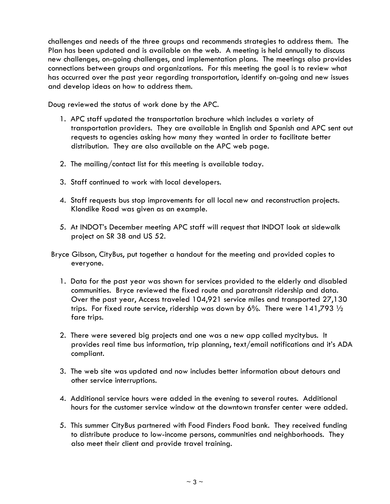challenges and needs of the three groups and recommends strategies to address them. The Plan has been updated and is available on the web. A meeting is held annually to discuss new challenges, on-going challenges, and implementation plans. The meetings also provides connections between groups and organizations. For this meeting the goal is to review what has occurred over the past year regarding transportation, identify on-going and new issues and develop ideas on how to address them.

Doug reviewed the status of work done by the APC.

- 1. APC staff updated the transportation brochure which includes a variety of transportation providers. They are available in English and Spanish and APC sent out requests to agencies asking how many they wanted in order to facilitate better distribution. They are also available on the APC web page.
- 2. The mailing/contact list for this meeting is available today.
- 3. Staff continued to work with local developers.
- 4. Staff requests bus stop improvements for all local new and reconstruction projects. Klondike Road was given as an example.
- 5. At INDOT's December meeting APC staff will request that INDOT look at sidewalk project on SR 38 and US 52.
- Bryce Gibson, CityBus, put together a handout for the meeting and provided copies to everyone.
	- 1. Data for the past year was shown for services provided to the elderly and disabled communities. Bryce reviewed the fixed route and paratransit ridership and data. Over the past year, Access traveled 104,921 service miles and transported 27,130 trips. For fixed route service, ridership was down by 6%. There were  $141,793\frac{1}{2}$ fare trips.
	- 2. There were severed big projects and one was a new app called mycitybus. It provides real time bus information, trip planning, text/email notifications and it's ADA compliant.
	- 3. The web site was updated and now includes better information about detours and other service interruptions.
	- 4. Additional service hours were added in the evening to several routes. Additional hours for the customer service window at the downtown transfer center were added.
	- 5. This summer CityBus partnered with Food Finders Food bank. They received funding to distribute produce to low-income persons, communities and neighborhoods. They also meet their client and provide travel training.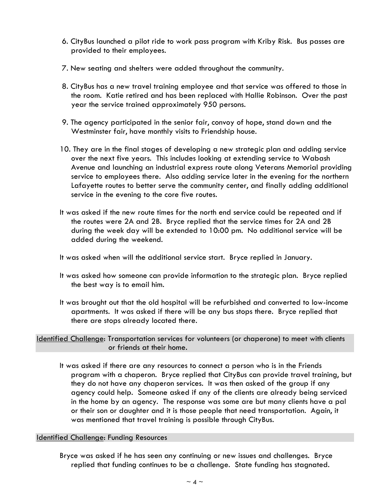- 6. CityBus launched a pilot ride to work pass program with Kriby Risk. Bus passes are provided to their employees.
- 7. New seating and shelters were added throughout the community.
- 8. CityBus has a new travel training employee and that service was offered to those in the room. Katie retired and has been replaced with Hallie Robinson. Over the past year the service trained approximately 950 persons.
- 9. The agency participated in the senior fair, convoy of hope, stand down and the Westminster fair, have monthly visits to Friendship house.
- 10. They are in the final stages of developing a new strategic plan and adding service over the next five years. This includes looking at extending service to Wabash Avenue and launching an industrial express route along Veterans Memorial providing service to employees there. Also adding service later in the evening for the northern Lafayette routes to better serve the community center, and finally adding additional service in the evening to the core five routes.
- It was asked if the new route times for the north end service could be repeated and if the routes were 2A and 2B. Bryce replied that the service times for 2A and 2B during the week day will be extended to 10:00 pm. No additional service will be added during the weekend.

It was asked when will the additional service start. Bryce replied in January.

- It was asked how someone can provide information to the strategic plan. Bryce replied the best way is to email him.
- It was brought out that the old hospital will be refurbished and converted to low-income apartments. It was asked if there will be any bus stops there. Bryce replied that there are stops already located there.

Identified Challenge: Transportation services for volunteers (or chaperone) to meet with clients or friends at their home.

It was asked if there are any resources to connect a person who is in the Friends program with a chaperon. Bryce replied that CityBus can provide travel training, but they do not have any chaperon services. It was then asked of the group if any agency could help. Someone asked if any of the clients are already being serviced in the home by an agency. The response was some are but many clients have a pal or their son or daughter and it is those people that need transportation. Again, it was mentioned that travel training is possible through CityBus.

### Identified Challenge: Funding Resources

Bryce was asked if he has seen any continuing or new issues and challenges. Bryce replied that funding continues to be a challenge. State funding has stagnated.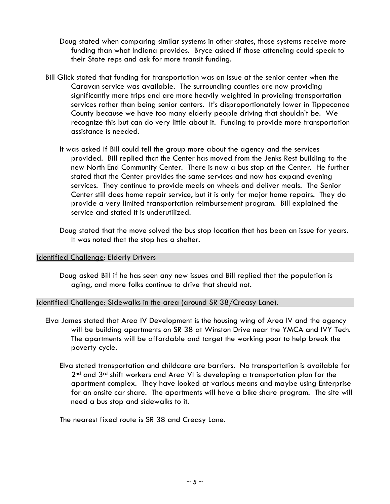- Doug stated when comparing similar systems in other states, those systems receive more funding than what Indiana provides. Bryce asked if those attending could speak to their State reps and ask for more transit funding.
- Bill Glick stated that funding for transportation was an issue at the senior center when the Caravan service was available. The surrounding counties are now providing significantly more trips and are more heavily weighted in providing transportation services rather than being senior centers. It's disproportionately lower in Tippecanoe County because we have too many elderly people driving that shouldn't be. We recognize this but can do very little about it. Funding to provide more transportation assistance is needed.
	- It was asked if Bill could tell the group more about the agency and the services provided. Bill replied that the Center has moved from the Jenks Rest building to the new North End Community Center. There is now a bus stop at the Center. He further stated that the Center provides the same services and now has expand evening services. They continue to provide meals on wheels and deliver meals. The Senior Center still does home repair service, but it is only for major home repairs. They do provide a very limited transportation reimbursement program. Bill explained the service and stated it is underutilized.
	- Doug stated that the move solved the bus stop location that has been an issue for years. It was noted that the stop has a shelter.

### Identified Challenge: Elderly Drivers

Doug asked Bill if he has seen any new issues and Bill replied that the population is aging, and more folks continue to drive that should not.

Identified Challenge: Sidewalks in the area (around SR 38/Creasy Lane).

- Elva James stated that Area IV Development is the housing wing of Area IV and the agency will be building apartments on SR 38 at Winston Drive near the YMCA and IVY Tech. The apartments will be affordable and target the working poor to help break the poverty cycle.
	- Elva stated transportation and childcare are barriers. No transportation is available for 2<sup>nd</sup> and 3<sup>rd</sup> shift workers and Area VI is developing a transportation plan for the apartment complex. They have looked at various means and maybe using Enterprise for an onsite car share. The apartments will have a bike share program. The site will need a bus stop and sidewalks to it.

The nearest fixed route is SR 38 and Creasy Lane.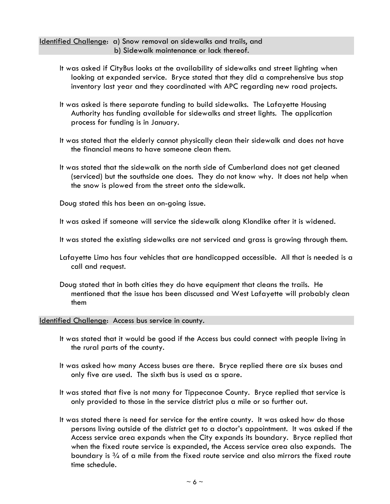Identified Challenge: a) Snow removal on sidewalks and trails, and b) Sidewalk maintenance or lack thereof.

- It was asked if CityBus looks at the availability of sidewalks and street lighting when looking at expanded service. Bryce stated that they did a comprehensive bus stop inventory last year and they coordinated with APC regarding new road projects.
- It was asked is there separate funding to build sidewalks. The Lafayette Housing Authority has funding available for sidewalks and street lights. The application process for funding is in January.
- It was stated that the elderly cannot physically clean their sidewalk and does not have the financial means to have someone clean them.
- It was stated that the sidewalk on the north side of Cumberland does not get cleaned (serviced) but the southside one does. They do not know why. It does not help when the snow is plowed from the street onto the sidewalk.

Doug stated this has been an on-going issue.

It was asked if someone will service the sidewalk along Klondike after it is widened.

- It was stated the existing sidewalks are not serviced and grass is growing through them.
- Lafayette Limo has four vehicles that are handicapped accessible. All that is needed is a call and request.
- Doug stated that in both cities they do have equipment that cleans the trails. He mentioned that the issue has been discussed and West Lafayette will probably clean them

#### Identified Challenge: Access bus service in county.

- It was stated that it would be good if the Access bus could connect with people living in the rural parts of the county.
- It was asked how many Access buses are there. Bryce replied there are six buses and only five are used. The sixth bus is used as a spare.
- It was stated that five is not many for Tippecanoe County. Bryce replied that service is only provided to those in the service district plus a mile or so further out.
- It was stated there is need for service for the entire county. It was asked how do those persons living outside of the district get to a doctor's appointment. It was asked if the Access service area expands when the City expands its boundary. Bryce replied that when the fixed route service is expanded, the Access service area also expands. The boundary is  $\frac{3}{4}$  of a mile from the fixed route service and also mirrors the fixed route time schedule.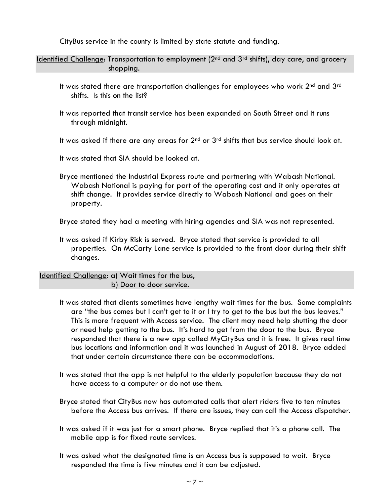CityBus service in the county is limited by state statute and funding.

Identified Challenge: Transportation to employment (2nd and 3rd shifts), day care, and grocery shopping.

- It was stated there are transportation challenges for employees who work 2<sup>nd</sup> and 3<sup>rd</sup> shifts. Is this on the list?
- It was reported that transit service has been expanded on South Street and it runs through midnight.
- It was asked if there are any areas for  $2<sup>nd</sup>$  or  $3<sup>rd</sup>$  shifts that bus service should look at.

It was stated that SIA should be looked at.

Bryce mentioned the Industrial Express route and partnering with Wabash National. Wabash National is paying for part of the operating cost and it only operates at shift change. It provides service directly to Wabash National and goes on their property.

Bryce stated they had a meeting with hiring agencies and SIA was not represented.

It was asked if Kirby Risk is served. Bryce stated that service is provided to all properties. On McCarty Lane service is provided to the front door during their shift changes.

Identified Challenge: a) Wait times for the bus, b) Door to door service.

- It was stated that clients sometimes have lengthy wait times for the bus. Some complaints are "the bus comes but I can't get to it or I try to get to the bus but the bus leaves." This is more frequent with Access service. The client may need help shutting the door or need help getting to the bus. It's hard to get from the door to the bus. Bryce responded that there is a new app called MyCityBus and it is free. It gives real time bus locations and information and it was launched in August of 2018. Bryce added that under certain circumstance there can be accommodations.
- It was stated that the app is not helpful to the elderly population because they do not have access to a computer or do not use them.
- Bryce stated that CityBus now has automated calls that alert riders five to ten minutes before the Access bus arrives. If there are issues, they can call the Access dispatcher.
- It was asked if it was just for a smart phone. Bryce replied that it's a phone call. The mobile app is for fixed route services.
- It was asked what the designated time is an Access bus is supposed to wait. Bryce responded the time is five minutes and it can be adjusted.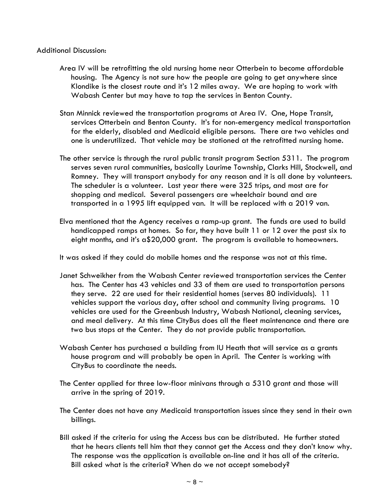#### Additional Discussion:

- Area IV will be retrofitting the old nursing home near Otterbein to become affordable housing. The Agency is not sure how the people are going to get anywhere since Klondike is the closest route and it's 12 miles away. We are hoping to work with Wabash Center but may have to tap the services in Benton County.
- Stan Minnick reviewed the transportation programs at Area IV. One, Hope Transit, services Otterbein and Benton County. It's for non-emergency medical transportation for the elderly, disabled and Medicaid eligible persons. There are two vehicles and one is underutilized. That vehicle may be stationed at the retrofitted nursing home.
- The other service is through the rural public transit program Section 5311. The program serves seven rural communities, basically Laurime Township, Clarks Hill, Stockwell, and Romney. They will transport anybody for any reason and it is all done by volunteers. The scheduler is a volunteer. Last year there were 325 trips, and most are for shopping and medical. Several passengers are wheelchair bound and are transported in a 1995 lift equipped van. It will be replaced with a 2019 van.
- Elva mentioned that the Agency receives a ramp-up grant. The funds are used to build handicapped ramps at homes. So far, they have built 11 or 12 over the past six to eight months, and it's a\$20,000 grant. The program is available to homeowners.

It was asked if they could do mobile homes and the response was not at this time.

- Janet Schweikher from the Wabash Center reviewed transportation services the Center has. The Center has 43 vehicles and 33 of them are used to transportation persons they serve. 22 are used for their residential homes (serves 80 individuals). 11 vehicles support the various day, after school and community living programs. 10 vehicles are used for the Greenbush Industry, Wabash National, cleaning services, and meal delivery. At this time CityBus does all the fleet maintenance and there are two bus stops at the Center. They do not provide public transportation.
- Wabash Center has purchased a building from IU Heath that will service as a grants house program and will probably be open in April. The Center is working with CityBus to coordinate the needs.
- The Center applied for three low-floor minivans through a 5310 grant and those will arrive in the spring of 2019.
- The Center does not have any Medicaid transportation issues since they send in their own billings.
- Bill asked if the criteria for using the Access bus can be distributed. He further stated that he hears clients tell him that they cannot get the Access and they don't know why. The response was the application is available on-line and it has all of the criteria. Bill asked what is the criteria? When do we not accept somebody?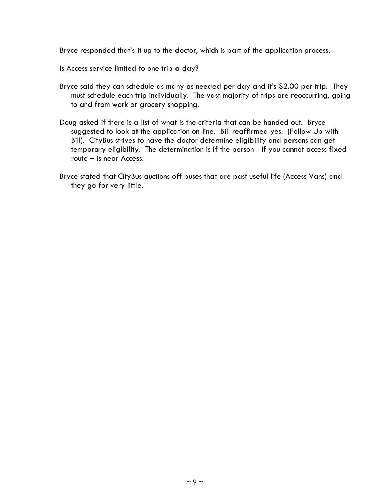Bryce responded that's it up to the doctor, which is part of the application process.

Is Access service limited to one trip a day?

- Bryce said they can schedule as many as needed per day and it's \$2.00 per trip. They must schedule each trip individually. The vast majority of trips are reoccurring, going to and from work or grocery shopping.
- Doug asked if there is a list of what is the criteria that can be handed out. Bryce suggested to look at the application on-line. Bill reaffirmed yes. (Follow Up with Bill). CityBus strives to have the doctor determine eligibility and persons can get temporary eligibility. The determination is if the person - if you cannot access fixed route – is near Access.
- Bryce stated that CityBus auctions off buses that are past useful life (Access Vans) and they go for very little.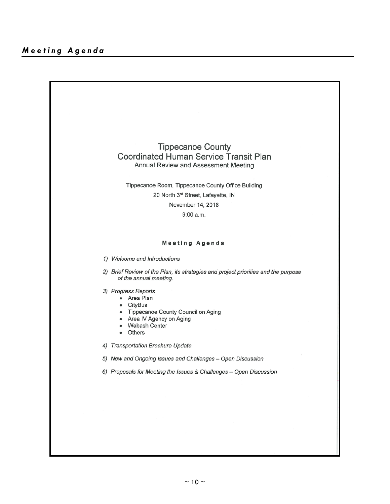